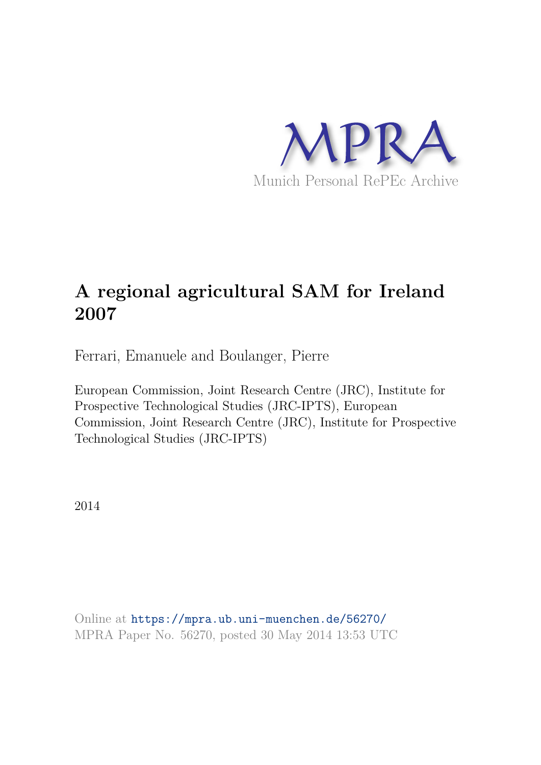

# **A regional agricultural SAM for Ireland 2007**

Ferrari, Emanuele and Boulanger, Pierre

European Commission, Joint Research Centre (JRC), Institute for Prospective Technological Studies (JRC-IPTS), European Commission, Joint Research Centre (JRC), Institute for Prospective Technological Studies (JRC-IPTS)

2014

Online at https://mpra.ub.uni-muenchen.de/56270/ MPRA Paper No. 56270, posted 30 May 2014 13:53 UTC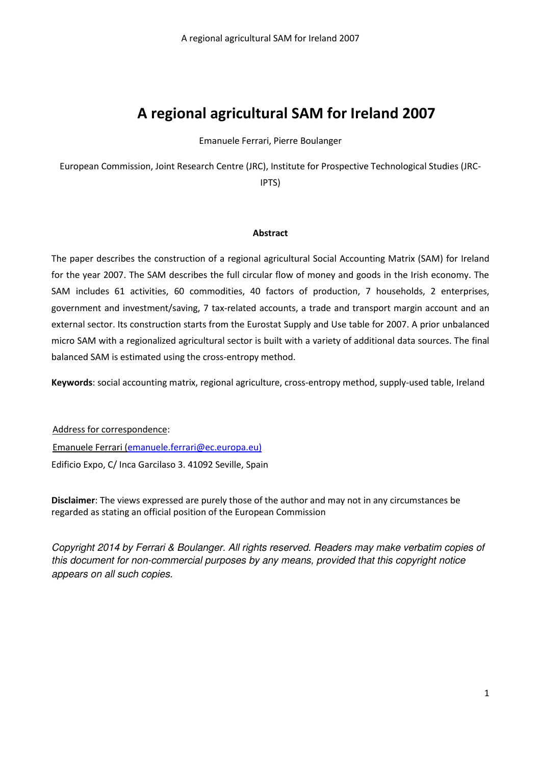## **A regional agricultural SAM for Ireland 2007**

Emanuele Ferrari, Pierre Boulanger

European Commission, Joint Research Centre (JRC), Institute for Prospective Technological Studies (JRC-IPTS)

#### **Abstract**

The paper describes the construction of a regional agricultural Social Accounting Matrix (SAM) for Ireland for the year 2007. The SAM describes the full circular flow of money and goods in the Irish economy. The SAM includes 61 activities, 60 commodities, 40 factors of production, 7 households, 2 enterprises, government and investment/saving, 7 tax-related accounts, a trade and transport margin account and an external sector. Its construction starts from the Eurostat Supply and Use table for 2007. A prior unbalanced micro SAM with a regionalized agricultural sector is built with a variety of additional data sources. The final balanced SAM is estimated using the cross-entropy method.

**Keywords**: social accounting matrix, regional agriculture, cross-entropy method, supply-used table, Ireland

Address for correspondence: Emanuele Ferrari [\(emanuele.ferrari@ec.europa.eu\)](mailto:emanuele.ferrari@ec.europa.eu) Edificio Expo, C/ Inca Garcilaso 3. 41092 Seville, Spain

**Disclaimer**: The views expressed are purely those of the author and may not in any circumstances be regarded as stating an official position of the European Commission

*Copyright 2014 by Ferrari & Boulanger. All rights reserved. Readers may make verbatim copies of this document for non-commercial purposes by any means, provided that this copyright notice appears on all such copies.*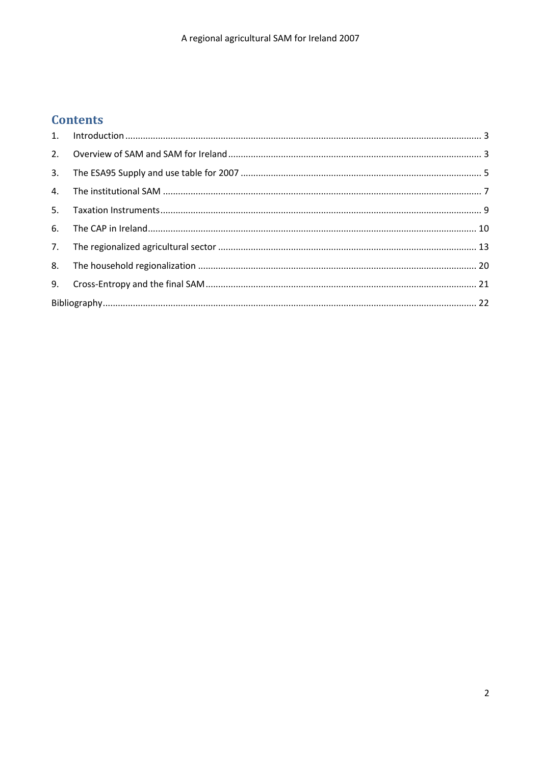## **Contents**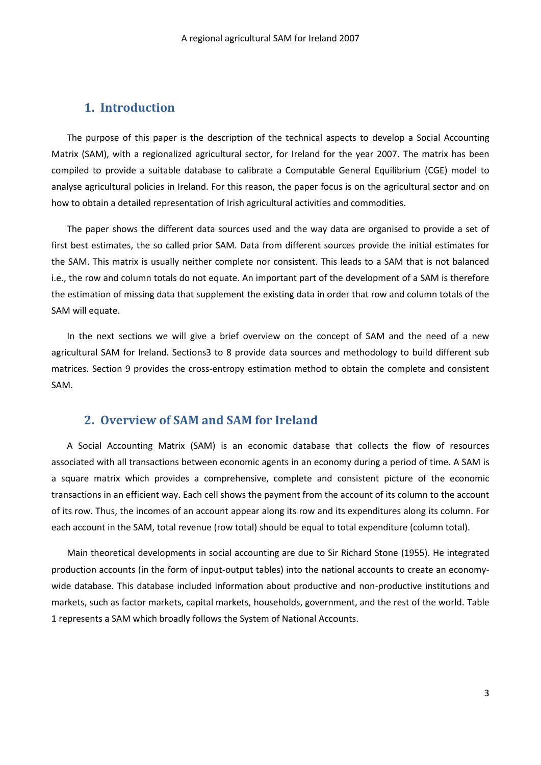### **1. Introduction**

<span id="page-3-0"></span>The purpose of this paper is the description of the technical aspects to develop a Social Accounting Matrix (SAM), with a regionalized agricultural sector, for Ireland for the year 2007. The matrix has been compiled to provide a suitable database to calibrate a Computable General Equilibrium (CGE) model to analyse agricultural policies in Ireland. For this reason, the paper focus is on the agricultural sector and on how to obtain a detailed representation of Irish agricultural activities and commodities.

The paper shows the different data sources used and the way data are organised to provide a set of first best estimates, the so called prior SAM. Data from different sources provide the initial estimates for the SAM. This matrix is usually neither complete nor consistent. This leads to a SAM that is not balanced i.e., the row and column totals do not equate. An important part of the development of a SAM is therefore the estimation of missing data that supplement the existing data in order that row and column totals of the SAM will equate.

In the next sections we will give a brief overview on the concept of SAM and the need of a new agricultural SAM for Ireland. Sections3 to 8 provide data sources and methodology to build different sub matrices. Section 9 provides the cross-entropy estimation method to obtain the complete and consistent SAM.

## <span id="page-3-1"></span>**2. Overview of SAM and SAM for Ireland**

A Social Accounting Matrix (SAM) is an economic database that collects the flow of resources associated with all transactions between economic agents in an economy during a period of time. A SAM is a square matrix which provides a comprehensive, complete and consistent picture of the economic transactions in an efficient way. Each cell shows the payment from the account of its column to the account of its row. Thus, the incomes of an account appear along its row and its expenditures along its column. For each account in the SAM, total revenue (row total) should be equal to total expenditure (column total).

Main theoretical developments in social accounting are due to Sir Richard Stone (1955). He integrated production accounts (in the form of input-output tables) into the national accounts to create an economywide database. This database included information about productive and non-productive institutions and markets, such as factor markets, capital markets, households, government, and the rest of the world. [Table](#page-4-0)  [1 r](#page-4-0)epresents a SAM which broadly follows the System of National Accounts.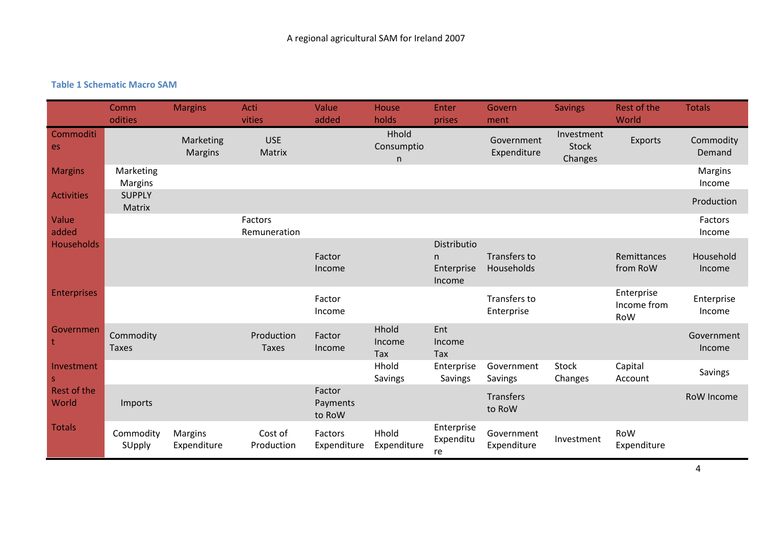## **Table 1 Schematic Macro SAM**

<span id="page-4-0"></span>

|                            | Comm<br>odities           | <b>Margins</b>              | Acti<br>vities             | Value<br>added               | House<br>holds           | Enter<br>prises                           | Govern<br>ment             | <b>Savings</b>                        | Rest of the<br>World             | <b>Totals</b>        |
|----------------------------|---------------------------|-----------------------------|----------------------------|------------------------------|--------------------------|-------------------------------------------|----------------------------|---------------------------------------|----------------------------------|----------------------|
| Commoditi<br>es            |                           | Marketing<br><b>Margins</b> | <b>USE</b><br>Matrix       |                              | Hhold<br>Consumptio<br>n |                                           | Government<br>Expenditure  | Investment<br><b>Stock</b><br>Changes | Exports                          | Commodity<br>Demand  |
| <b>Margins</b>             | Marketing<br>Margins      |                             |                            |                              |                          |                                           |                            |                                       |                                  | Margins<br>Income    |
| <b>Activities</b>          | <b>SUPPLY</b><br>Matrix   |                             |                            |                              |                          |                                           |                            |                                       |                                  | Production           |
| Value<br>added             |                           |                             | Factors<br>Remuneration    |                              |                          |                                           |                            |                                       |                                  | Factors<br>Income    |
| <b>Households</b>          |                           |                             |                            | Factor<br>Income             |                          | Distributio<br>n.<br>Enterprise<br>Income | Transfers to<br>Households |                                       | Remittances<br>from RoW          | Household<br>Income  |
| <b>Enterprises</b>         |                           |                             |                            | Factor<br>Income             |                          |                                           | Transfers to<br>Enterprise |                                       | Enterprise<br>Income from<br>RoW | Enterprise<br>Income |
| Governmen                  | Commodity<br><b>Taxes</b> |                             | Production<br><b>Taxes</b> | Factor<br>Income             | Hhold<br>Income<br>Tax   | Ent<br>Income<br>Tax                      |                            |                                       |                                  | Government<br>Income |
| Investment<br>$\mathsf{S}$ |                           |                             |                            |                              | Hhold<br>Savings         | Enterprise<br>Savings                     | Government<br>Savings      | <b>Stock</b><br>Changes               | Capital<br>Account               | Savings              |
| Rest of the<br>World       | Imports                   |                             |                            | Factor<br>Payments<br>to RoW |                          |                                           | <b>Transfers</b><br>to RoW |                                       |                                  | <b>RoW Income</b>    |
| <b>Totals</b>              | Commodity<br>SUpply       | Margins<br>Expenditure      | Cost of<br>Production      | Factors<br>Expenditure       | Hhold<br>Expenditure     | Enterprise<br>Expenditu<br>re             | Government<br>Expenditure  | Investment                            | RoW<br>Expenditure               |                      |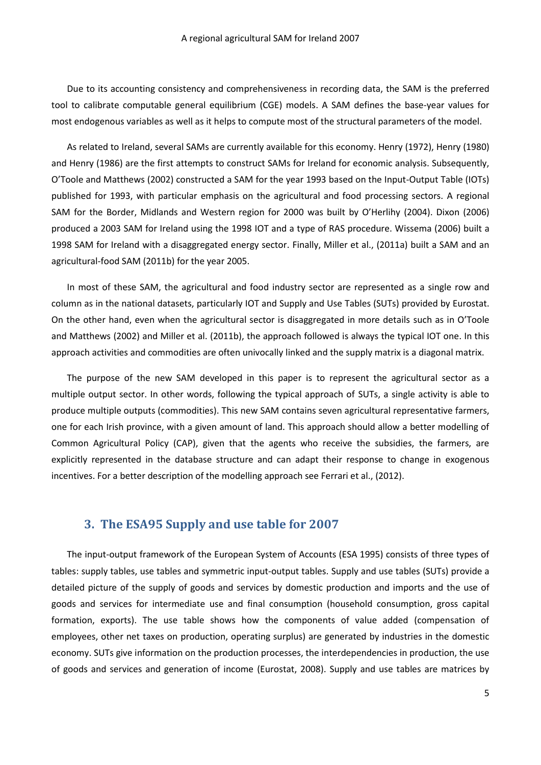Due to its accounting consistency and comprehensiveness in recording data, the SAM is the preferred tool to calibrate computable general equilibrium (CGE) models. A SAM defines the base-year values for most endogenous variables as well as it helps to compute most of the structural parameters of the model.

As related to Ireland, several SAMs are currently available for this economy. Henry (1972), Henry (1980) and Henry (1986) are the first attempts to construct SAMs for Ireland for economic analysis. Subsequently, O'Toole and Matthews (2002) constructed a SAM for the year 1993 based on the Input-Output Table (IOTs) published for 1993, with particular emphasis on the agricultural and food processing sectors. A regional SAM for the Border, Midlands and Western region for 2000 was built by O'Herlihy (2004). Dixon (2006) produced a 2003 SAM for Ireland using the 1998 IOT and a type of RAS procedure. Wissema (2006) built a 1998 SAM for Ireland with a disaggregated energy sector. Finally, Miller et al., (2011a) built a SAM and an agricultural-food SAM (2011b) for the year 2005.

In most of these SAM, the agricultural and food industry sector are represented as a single row and column as in the national datasets, particularly IOT and Supply and Use Tables (SUTs) provided by Eurostat. On the other hand, even when the agricultural sector is disaggregated in more details such as in O'Toole and Matthews (2002) and Miller et al. (2011b), the approach followed is always the typical IOT one. In this approach activities and commodities are often univocally linked and the supply matrix is a diagonal matrix.

The purpose of the new SAM developed in this paper is to represent the agricultural sector as a multiple output sector. In other words, following the typical approach of SUTs, a single activity is able to produce multiple outputs (commodities). This new SAM contains seven agricultural representative farmers, one for each Irish province, with a given amount of land. This approach should allow a better modelling of Common Agricultural Policy (CAP), given that the agents who receive the subsidies, the farmers, are explicitly represented in the database structure and can adapt their response to change in exogenous incentives. For a better description of the modelling approach see Ferrari et al., (2012).

## **3. The ESA95 Supply and use table for 2007**

<span id="page-5-0"></span>The input-output framework of the European System of Accounts (ESA 1995) consists of three types of tables: supply tables, use tables and symmetric input-output tables. Supply and use tables (SUTs) provide a detailed picture of the supply of goods and services by domestic production and imports and the use of goods and services for intermediate use and final consumption (household consumption, gross capital formation, exports). The use table shows how the components of value added (compensation of employees, other net taxes on production, operating surplus) are generated by industries in the domestic economy. SUTs give information on the production processes, the interdependencies in production, the use of goods and services and generation of income (Eurostat, 2008). Supply and use tables are matrices by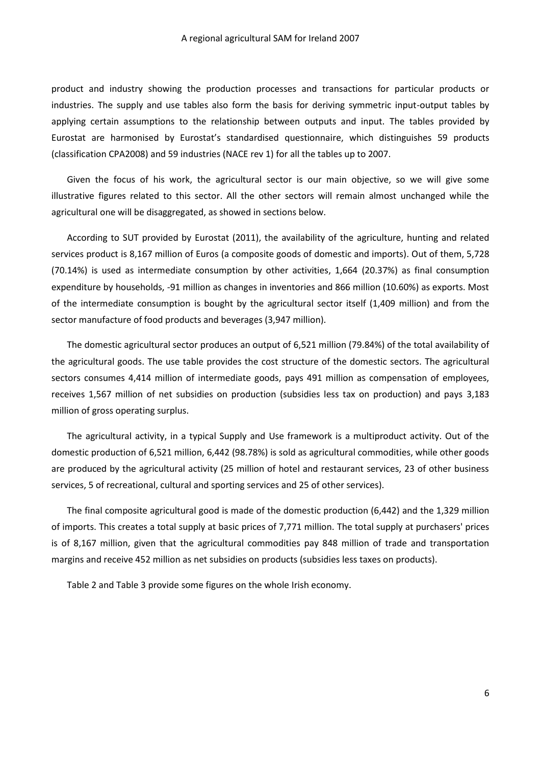product and industry showing the production processes and transactions for particular products or industries. The supply and use tables also form the basis for deriving symmetric input-output tables by applying certain assumptions to the relationship between outputs and input. The tables provided by Eurostat are harmonised by Eurostat's standardised questionnaire, which distinguishes 59 products (classification CPA2008) and 59 industries (NACE rev 1) for all the tables up to 2007.

Given the focus of his work, the agricultural sector is our main objective, so we will give some illustrative figures related to this sector. All the other sectors will remain almost unchanged while the agricultural one will be disaggregated, as showed in sections below.

According to SUT provided by Eurostat (2011), the availability of the agriculture, hunting and related services product is 8,167 million of Euros (a composite goods of domestic and imports). Out of them, 5,728 (70.14%) is used as intermediate consumption by other activities, 1,664 (20.37%) as final consumption expenditure by households, -91 million as changes in inventories and 866 million (10.60%) as exports. Most of the intermediate consumption is bought by the agricultural sector itself (1,409 million) and from the sector manufacture of food products and beverages (3,947 million).

The domestic agricultural sector produces an output of 6,521 million (79.84%) of the total availability of the agricultural goods. The use table provides the cost structure of the domestic sectors. The agricultural sectors consumes 4,414 million of intermediate goods, pays 491 million as compensation of employees, receives 1,567 million of net subsidies on production (subsidies less tax on production) and pays 3,183 million of gross operating surplus.

The agricultural activity, in a typical Supply and Use framework is a multiproduct activity. Out of the domestic production of 6,521 million, 6,442 (98.78%) is sold as agricultural commodities, while other goods are produced by the agricultural activity (25 million of hotel and restaurant services, 23 of other business services, 5 of recreational, cultural and sporting services and 25 of other services).

The final composite agricultural good is made of the domestic production (6,442) and the 1,329 million of imports. This creates a total supply at basic prices of 7,771 million. The total supply at purchasers' prices is of 8,167 million, given that the agricultural commodities pay 848 million of trade and transportation margins and receive 452 million as net subsidies on products (subsidies less taxes on products).

[Table 2](#page-7-1) and [Table 3](#page-7-2) provide some figures on the whole Irish economy.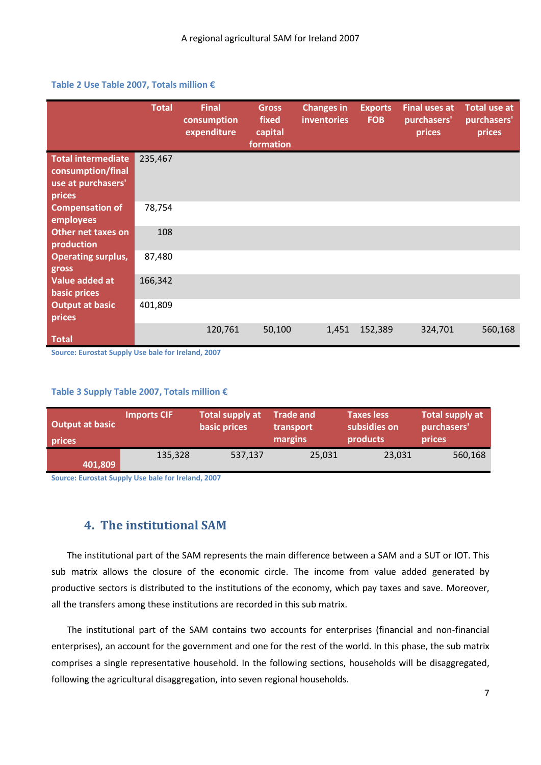#### <span id="page-7-1"></span>**Table 2 Use Table 2007, Totals million €**

|                                                                                | <b>Total</b> | <b>Final</b><br>consumption<br>expenditure | <b>Gross</b><br>fixed<br>capital<br>formation | <b>Changes in</b><br><b>inventories</b> | <b>Exports</b><br><b>FOB</b> | <b>Final uses at</b><br>purchasers'<br>prices | <b>Total use at</b><br>purchasers'<br>prices |
|--------------------------------------------------------------------------------|--------------|--------------------------------------------|-----------------------------------------------|-----------------------------------------|------------------------------|-----------------------------------------------|----------------------------------------------|
| <b>Total intermediate</b><br>consumption/final<br>use at purchasers'<br>prices | 235,467      |                                            |                                               |                                         |                              |                                               |                                              |
| <b>Compensation of</b><br>employees                                            | 78,754       |                                            |                                               |                                         |                              |                                               |                                              |
| <b>Other net taxes on</b><br>production                                        | 108          |                                            |                                               |                                         |                              |                                               |                                              |
| <b>Operating surplus,</b><br>gross                                             | 87,480       |                                            |                                               |                                         |                              |                                               |                                              |
| Value added at<br>basic prices                                                 | 166,342      |                                            |                                               |                                         |                              |                                               |                                              |
| <b>Output at basic</b><br>prices                                               | 401,809      |                                            |                                               |                                         |                              |                                               |                                              |
| <b>Total</b>                                                                   |              | 120,761                                    | 50,100                                        | 1,451                                   | 152,389                      | 324,701                                       | 560,168                                      |

**Source: Eurostat Supply Use bale for Ireland, 2007** 

#### <span id="page-7-2"></span>**Table 3 Supply Table 2007, Totals million €**

| Output at basic<br>prices | <b>Imports CIF</b> | <b>Total supply at</b><br>basic prices | <b>Trade and</b><br>transport<br>margins | <b>Taxes less</b><br>subsidies on<br>products | Total supply at<br>purchasers'<br>prices |  |
|---------------------------|--------------------|----------------------------------------|------------------------------------------|-----------------------------------------------|------------------------------------------|--|
| 401,809                   | 135,328            | 537,137                                | 25,031                                   | 23,031                                        | 560,168                                  |  |

**Source: Eurostat Supply Use bale for Ireland, 2007** 

## **4. The institutional SAM**

<span id="page-7-0"></span>The institutional part of the SAM represents the main difference between a SAM and a SUT or IOT. This sub matrix allows the closure of the economic circle. The income from value added generated by productive sectors is distributed to the institutions of the economy, which pay taxes and save. Moreover, all the transfers among these institutions are recorded in this sub matrix.

The institutional part of the SAM contains two accounts for enterprises (financial and non-financial enterprises), an account for the government and one for the rest of the world. In this phase, the sub matrix comprises a single representative household. In the following sections, households will be disaggregated, following the agricultural disaggregation, into seven regional households.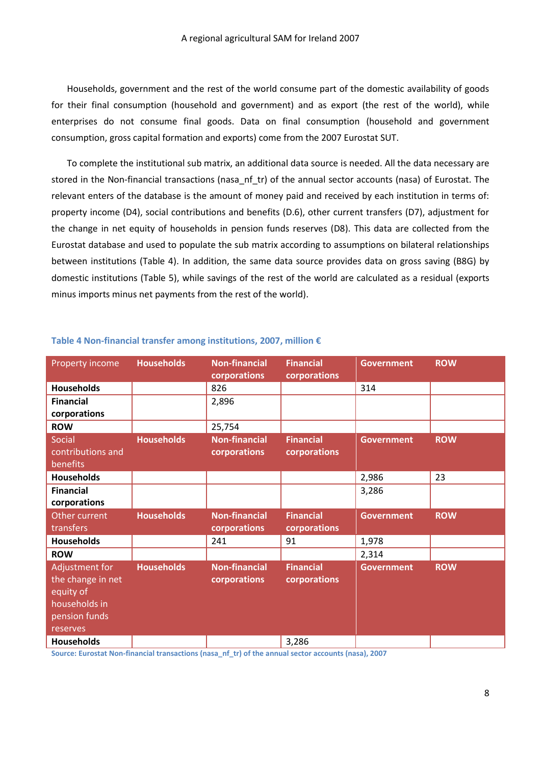Households, government and the rest of the world consume part of the domestic availability of goods for their final consumption (household and government) and as export (the rest of the world), while enterprises do not consume final goods. Data on final consumption (household and government consumption, gross capital formation and exports) come from the 2007 Eurostat SUT.

To complete the institutional sub matrix, an additional data source is needed. All the data necessary are stored in the Non-financial transactions (nasa\_nf\_tr) of the annual sector accounts (nasa) of Eurostat. The relevant enters of the database is the amount of money paid and received by each institution in terms of: property income (D4), social contributions and benefits (D.6), other current transfers (D7), adjustment for the change in net equity of households in pension funds reserves (D8). This data are collected from the Eurostat database and used to populate the sub matrix according to assumptions on bilateral relationships between institutions [\(Table 4\)](#page-8-0). In addition, the same data source provides data on gross saving (B8G) by domestic institutions [\(Table 5\)](#page-9-1), while savings of the rest of the world are calculated as a residual (exports minus imports minus net payments from the rest of the world).

| Property income                                                                                | <b>Households</b> | <b>Non-financial</b><br>corporations | <b>Financial</b><br>corporations | <b>Government</b> | <b>ROW</b> |
|------------------------------------------------------------------------------------------------|-------------------|--------------------------------------|----------------------------------|-------------------|------------|
| <b>Households</b>                                                                              |                   | 826                                  |                                  | 314               |            |
| <b>Financial</b><br>corporations                                                               |                   | 2,896                                |                                  |                   |            |
| <b>ROW</b>                                                                                     |                   | 25,754                               |                                  |                   |            |
| Social<br>contributions and<br>benefits                                                        | <b>Households</b> | <b>Non-financial</b><br>corporations | <b>Financial</b><br>corporations | <b>Government</b> | <b>ROW</b> |
| <b>Households</b>                                                                              |                   |                                      |                                  | 2,986             | 23         |
| <b>Financial</b><br>corporations                                                               |                   |                                      |                                  | 3,286             |            |
| Other current<br>transfers                                                                     | <b>Households</b> | <b>Non-financial</b><br>corporations | <b>Financial</b><br>corporations | <b>Government</b> | <b>ROW</b> |
| <b>Households</b>                                                                              |                   | 241                                  | 91                               | 1,978             |            |
| <b>ROW</b>                                                                                     |                   |                                      |                                  | 2,314             |            |
| Adjustment for<br>the change in net<br>equity of<br>households in<br>pension funds<br>reserves | <b>Households</b> | <b>Non-financial</b><br>corporations | <b>Financial</b><br>corporations | <b>Government</b> | <b>ROW</b> |
| <b>Households</b>                                                                              |                   |                                      | 3,286                            |                   |            |

#### <span id="page-8-0"></span>**Table 4 Non-financial transfer among institutions, 2007, million €**

**Source: Eurostat Non-financial transactions (nasa\_nf\_tr) of the annual sector accounts (nasa), 2007**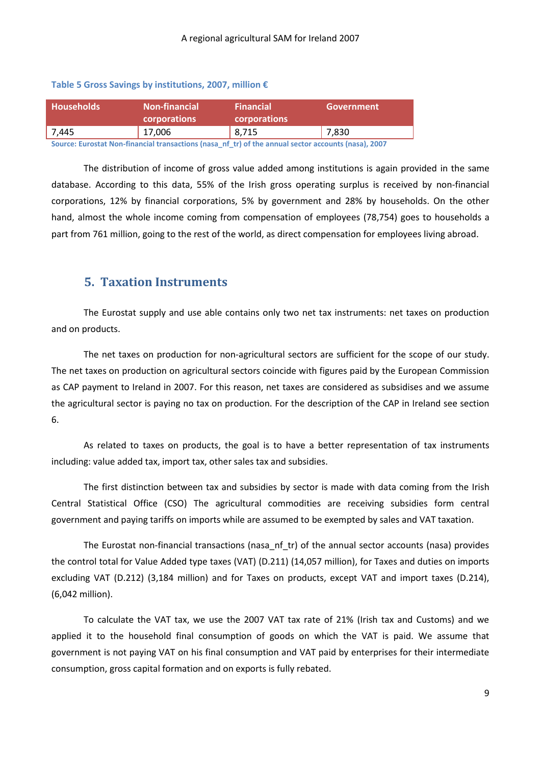#### <span id="page-9-1"></span>**Table 5 Gross Savings by institutions, 2007, million €**

| <b>Households</b>                                                                | <b>Non-financial</b><br><b>corporations</b> | <b>Financial</b><br><b>corporations</b> | Government |
|----------------------------------------------------------------------------------|---------------------------------------------|-----------------------------------------|------------|
| 7,445                                                                            | 17,006                                      | 8,715                                   | 7,830      |
| ,这是一个人的人,就是一个人的人,就是一个人的人,就是一个人的人,就是一个人的人,就是一个人的人,就是一个人的人,就是一个人的人,我们的人,我们的人,我们的人, |                                             |                                         |            |

**Source: Eurostat Non-financial transactions (nasa\_nf\_tr) of the annual sector accounts (nasa), 2007** 

The distribution of income of gross value added among institutions is again provided in the same database. According to this data, 55% of the Irish gross operating surplus is received by non-financial corporations, 12% by financial corporations, 5% by government and 28% by households. On the other hand, almost the whole income coming from compensation of employees (78,754) goes to households a part from 761 million, going to the rest of the world, as direct compensation for employees living abroad.

## **5. Taxation Instruments**

<span id="page-9-0"></span>The Eurostat supply and use able contains only two net tax instruments: net taxes on production and on products.

The net taxes on production for non-agricultural sectors are sufficient for the scope of our study. The net taxes on production on agricultural sectors coincide with figures paid by the European Commission as CAP payment to Ireland in 2007. For this reason, net taxes are considered as subsidises and we assume the agricultural sector is paying no tax on production. For the description of the CAP in Ireland see section 6.

As related to taxes on products, the goal is to have a better representation of tax instruments including: value added tax, import tax, other sales tax and subsidies.

The first distinction between tax and subsidies by sector is made with data coming from the Irish Central Statistical Office (CSO) The agricultural commodities are receiving subsidies form central government and paying tariffs on imports while are assumed to be exempted by sales and VAT taxation.

The Eurostat non-financial transactions (nasa\_nf\_tr) of the annual sector accounts (nasa) provides the control total for Value Added type taxes (VAT) (D.211) (14,057 million), for Taxes and duties on imports excluding VAT (D.212) (3,184 million) and for Taxes on products, except VAT and import taxes (D.214), (6,042 million).

To calculate the VAT tax, we use the 2007 VAT tax rate of 21% (Irish tax and Customs) and we applied it to the household final consumption of goods on which the VAT is paid. We assume that government is not paying VAT on his final consumption and VAT paid by enterprises for their intermediate consumption, gross capital formation and on exports is fully rebated.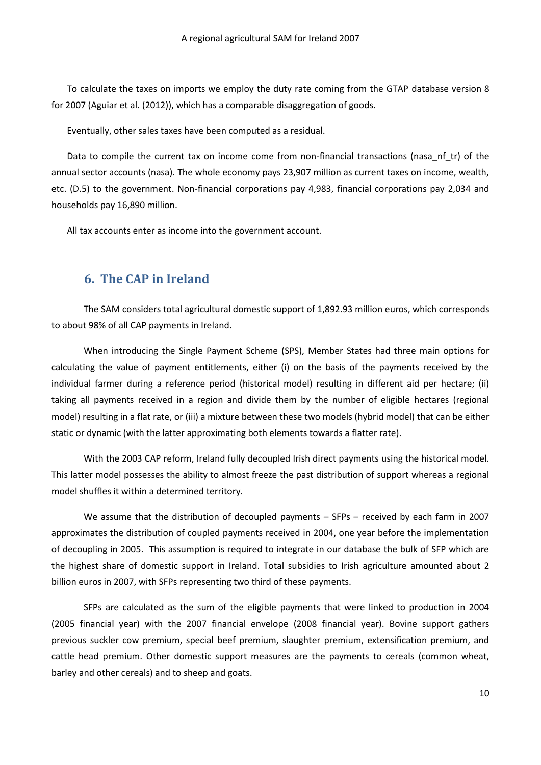To calculate the taxes on imports we employ the duty rate coming from the GTAP database version 8 for 2007 (Aguiar et al. (2012)), which has a comparable disaggregation of goods.

Eventually, other sales taxes have been computed as a residual.

Data to compile the current tax on income come from non-financial transactions (nasa nf tr) of the annual sector accounts (nasa). The whole economy pays 23,907 million as current taxes on income, wealth, etc. (D.5) to the government. Non-financial corporations pay 4,983, financial corporations pay 2,034 and households pay 16,890 million.

All tax accounts enter as income into the government account.

## **6. The CAP in Ireland**

<span id="page-10-0"></span>The SAM considers total agricultural domestic support of 1,892.93 million euros, which corresponds to about 98% of all CAP payments in Ireland.

When introducing the Single Payment Scheme (SPS), Member States had three main options for calculating the value of payment entitlements, either (i) on the basis of the payments received by the individual farmer during a reference period (historical model) resulting in different aid per hectare; (ii) taking all payments received in a region and divide them by the number of eligible hectares (regional model) resulting in a flat rate, or (iii) a mixture between these two models (hybrid model) that can be either static or dynamic (with the latter approximating both elements towards a flatter rate).

With the 2003 CAP reform, Ireland fully decoupled Irish direct payments using the historical model. This latter model possesses the ability to almost freeze the past distribution of support whereas a regional model shuffles it within a determined territory.

We assume that the distribution of decoupled payments – SFPs – received by each farm in 2007 approximates the distribution of coupled payments received in 2004, one year before the implementation of decoupling in 2005. This assumption is required to integrate in our database the bulk of SFP which are the highest share of domestic support in Ireland. Total subsidies to Irish agriculture amounted about 2 billion euros in 2007, with SFPs representing two third of these payments.

SFPs are calculated as the sum of the eligible payments that were linked to production in 2004 (2005 financial year) with the 2007 financial envelope (2008 financial year). Bovine support gathers previous suckler cow premium, special beef premium, slaughter premium, extensification premium, and cattle head premium. Other domestic support measures are the payments to cereals (common wheat, barley and other cereals) and to sheep and goats.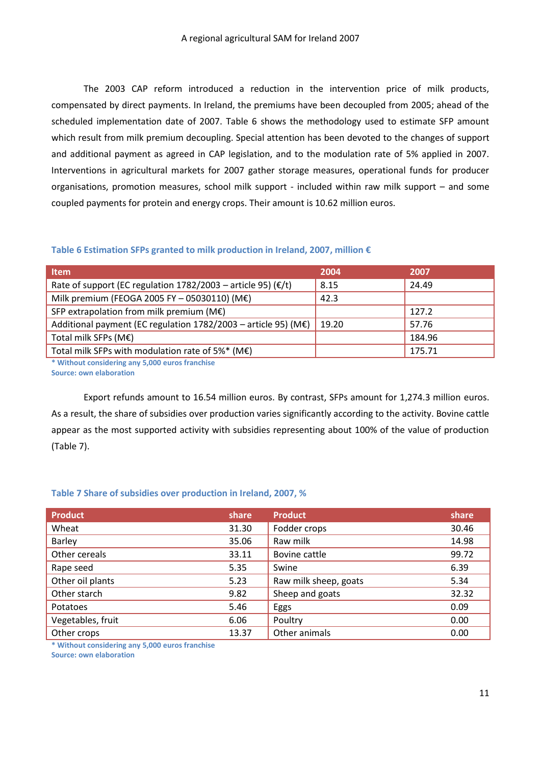The 2003 CAP reform introduced a reduction in the intervention price of milk products, compensated by direct payments. In Ireland, the premiums have been decoupled from 2005; ahead of the scheduled implementation date of 2007. [Table 6](#page-11-0) shows the methodology used to estimate SFP amount which result from milk premium decoupling. Special attention has been devoted to the changes of support and additional payment as agreed in CAP legislation, and to the modulation rate of 5% applied in 2007. Interventions in agricultural markets for 2007 gather storage measures, operational funds for producer organisations, promotion measures, school milk support - included within raw milk support – and some coupled payments for protein and energy crops. Their amount is 10.62 million euros.

#### <span id="page-11-0"></span>**Table 6 Estimation SFPs granted to milk production in Ireland, 2007, million €**

| <b>Item</b>                                                               | 2004  | 2007   |
|---------------------------------------------------------------------------|-------|--------|
| Rate of support (EC regulation $1782/2003$ – article 95) ( $\epsilon/t$ ) | 8.15  | 24.49  |
| Milk premium (FEOGA 2005 FY - 05030110) (M€)                              | 42.3  |        |
| SFP extrapolation from milk premium ( $M\epsilon$ )                       |       | 127.2  |
| Additional payment (EC regulation $1782/2003$ – article 95) (M€)          | 19.20 | 57.76  |
| Total milk SFPs (M€)                                                      |       | 184.96 |
| Total milk SFPs with modulation rate of 5%* (M $\epsilon$ )               |       | 175.71 |
| * Without considering any 5,000 euros franchise                           |       |        |

**Source: own elaboration** 

Export refunds amount to 16.54 million euros. By contrast, SFPs amount for 1,274.3 million euros. As a result, the share of subsidies over production varies significantly according to the activity. Bovine cattle appear as the most supported activity with subsidies representing about 100% of the value of production [\(Table 7\)](#page-11-1).

#### <span id="page-11-1"></span>**Table 7 Share of subsidies over production in Ireland, 2007, %**

| <b>Product</b>    | share | <b>Product</b>        | share |
|-------------------|-------|-----------------------|-------|
| Wheat             | 31.30 | Fodder crops          | 30.46 |
| Barley            | 35.06 | Raw milk              | 14.98 |
| Other cereals     | 33.11 | Bovine cattle         | 99.72 |
| Rape seed         | 5.35  | Swine                 | 6.39  |
| Other oil plants  | 5.23  | Raw milk sheep, goats | 5.34  |
| Other starch      | 9.82  | Sheep and goats       | 32.32 |
| Potatoes          | 5.46  | Eggs                  | 0.09  |
| Vegetables, fruit | 6.06  | Poultry               | 0.00  |
| Other crops       | 13.37 | Other animals         | 0.00  |

**\* Without considering any 5,000 euros franchise Source: own elaboration**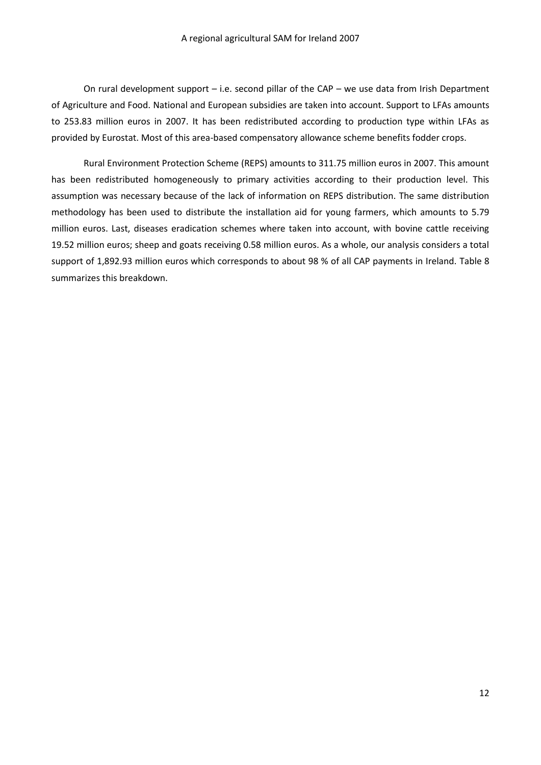On rural development support – i.e. second pillar of the CAP – we use data from Irish Department of Agriculture and Food. National and European subsidies are taken into account. Support to LFAs amounts to 253.83 million euros in 2007. It has been redistributed according to production type within LFAs as provided by Eurostat. Most of this area-based compensatory allowance scheme benefits fodder crops.

Rural Environment Protection Scheme (REPS) amounts to 311.75 million euros in 2007. This amount has been redistributed homogeneously to primary activities according to their production level. This assumption was necessary because of the lack of information on REPS distribution. The same distribution methodology has been used to distribute the installation aid for young farmers, which amounts to 5.79 million euros. Last, diseases eradication schemes where taken into account, with bovine cattle receiving 19.52 million euros; sheep and goats receiving 0.58 million euros. As a whole, our analysis considers a total support of 1,892.93 million euros which corresponds to about 98 % of all CAP payments in Ireland. [Table 8](#page-13-1)  summarizes this breakdown.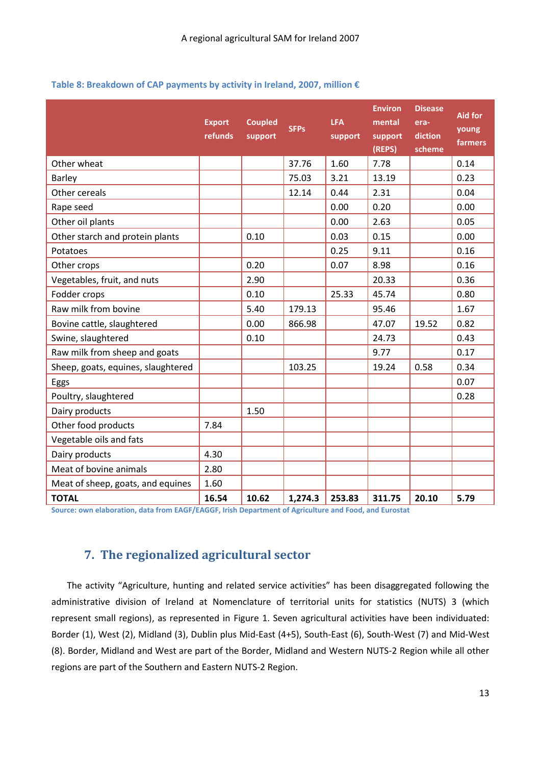<span id="page-13-1"></span>

| Table 8: Breakdown of CAP payments by activity in Ireland, 2007, million € |  |  |  |
|----------------------------------------------------------------------------|--|--|--|
|----------------------------------------------------------------------------|--|--|--|

|                                    | <b>Export</b><br>refunds | <b>Coupled</b><br>support | <b>SFPs</b> | <b>LFA</b><br>support | <b>Environ</b><br>mental<br>support<br>(REPS) | <b>Disease</b><br>era-<br>diction<br>scheme | <b>Aid for</b><br>young<br>farmers |
|------------------------------------|--------------------------|---------------------------|-------------|-----------------------|-----------------------------------------------|---------------------------------------------|------------------------------------|
| Other wheat                        |                          |                           | 37.76       | 1.60                  | 7.78                                          |                                             | 0.14                               |
| <b>Barley</b>                      |                          |                           | 75.03       | 3.21                  | 13.19                                         |                                             | 0.23                               |
| Other cereals                      |                          |                           | 12.14       | 0.44                  | 2.31                                          |                                             | 0.04                               |
| Rape seed                          |                          |                           |             | 0.00                  | 0.20                                          |                                             | 0.00                               |
| Other oil plants                   |                          |                           |             | 0.00                  | 2.63                                          |                                             | 0.05                               |
| Other starch and protein plants    |                          | 0.10                      |             | 0.03                  | 0.15                                          |                                             | 0.00                               |
| Potatoes                           |                          |                           |             | 0.25                  | 9.11                                          |                                             | 0.16                               |
| Other crops                        |                          | 0.20                      |             | 0.07                  | 8.98                                          |                                             | 0.16                               |
| Vegetables, fruit, and nuts        |                          | 2.90                      |             |                       | 20.33                                         |                                             | 0.36                               |
| Fodder crops                       |                          | 0.10                      |             | 25.33                 | 45.74                                         |                                             | 0.80                               |
| Raw milk from bovine               |                          | 5.40                      | 179.13      |                       | 95.46                                         |                                             | 1.67                               |
| Bovine cattle, slaughtered         |                          | 0.00                      | 866.98      |                       | 47.07                                         | 19.52                                       | 0.82                               |
| Swine, slaughtered                 |                          | 0.10                      |             |                       | 24.73                                         |                                             | 0.43                               |
| Raw milk from sheep and goats      |                          |                           |             |                       | 9.77                                          |                                             | 0.17                               |
| Sheep, goats, equines, slaughtered |                          |                           | 103.25      |                       | 19.24                                         | 0.58                                        | 0.34                               |
| Eggs                               |                          |                           |             |                       |                                               |                                             | 0.07                               |
| Poultry, slaughtered               |                          |                           |             |                       |                                               |                                             | 0.28                               |
| Dairy products                     |                          | 1.50                      |             |                       |                                               |                                             |                                    |
| Other food products                | 7.84                     |                           |             |                       |                                               |                                             |                                    |
| Vegetable oils and fats            |                          |                           |             |                       |                                               |                                             |                                    |
| Dairy products                     | 4.30                     |                           |             |                       |                                               |                                             |                                    |
| Meat of bovine animals             | 2.80                     |                           |             |                       |                                               |                                             |                                    |
| Meat of sheep, goats, and equines  | 1.60                     |                           |             |                       |                                               |                                             |                                    |
| <b>TOTAL</b>                       | 16.54                    | 10.62                     | 1,274.3     | 253.83                | 311.75                                        | 20.10                                       | 5.79                               |

**Source: own elaboration, data from EAGF/EAGGF, Irish Department of Agriculture and Food, and Eurostat** 

## **7. The regionalized agricultural sector**

<span id="page-13-0"></span>The activity "Agriculture, hunting and related service activities" has been disaggregated following the administrative division of Ireland at Nomenclature of territorial units for statistics (NUTS) 3 (which represent small regions), as represented in [Figure 1.](#page-15-0) Seven agricultural activities have been individuated: Border (1), West (2), Midland (3), Dublin plus Mid-East (4+5), South-East (6), South-West (7) and Mid-West (8). Border, Midland and West are part of the Border, Midland and Western NUTS-2 Region while all other regions are part of the Southern and Eastern NUTS-2 Region.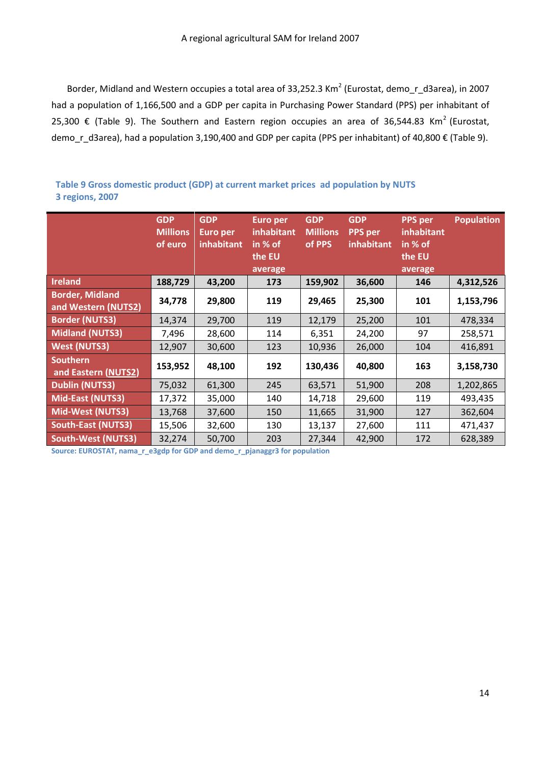Border, Midland and Western occupies a total area of 33,252.3 Km<sup>2</sup> (Eurostat, demo\_r\_d3area), in 2007 had a population of 1,166,500 and a GDP per capita in Purchasing Power Standard (PPS) per inhabitant of 25,300 € [\(Table 9\)](#page-14-0). The Southern and Eastern region occupies an area of 36,544.83 Km<sup>2</sup> (Eurostat, demo r d3area), had a population 3,190,400 and GDP per capita (PPS per inhabitant) of 40,800 € [\(Table 9\)](#page-14-0).

<span id="page-14-0"></span>**Table 9 Gross domestic product (GDP) at current market prices ad population by NUTS 3 regions, 2007** 

|                                               | <b>GDP</b><br><b>Millions</b><br>of euro | <b>GDP</b><br><b>Euro per</b><br>inhabitant | <b>Euro per</b><br>inhabitant<br>in % of<br>the EU<br>average | <b>GDP</b><br><b>Millions</b><br>of PPS | <b>GDP</b><br><b>PPS</b> per<br>inhabitant | <b>PPS</b> per<br>inhabitant<br>in $%$ of<br>the EU<br>average | <b>Population</b> |
|-----------------------------------------------|------------------------------------------|---------------------------------------------|---------------------------------------------------------------|-----------------------------------------|--------------------------------------------|----------------------------------------------------------------|-------------------|
| <b>Ireland</b>                                | 188,729                                  | 43,200                                      | 173                                                           | 159,902                                 | 36,600                                     | 146                                                            | 4,312,526         |
| <b>Border, Midland</b><br>and Western (NUTS2) | 34,778                                   | 29,800                                      | 119                                                           | 29,465                                  | 25,300                                     | 101                                                            | 1,153,796         |
| <b>Border (NUTS3)</b>                         | 14,374                                   | 29,700                                      | 119                                                           | 12,179                                  | 25,200                                     | 101                                                            | 478,334           |
| <b>Midland (NUTS3)</b>                        | 7,496                                    | 28,600                                      | 114                                                           | 6,351                                   | 24,200                                     | 97                                                             | 258,571           |
| <b>West (NUTS3)</b>                           | 12,907                                   | 30,600                                      | 123                                                           | 10,936                                  | 26,000                                     | 104                                                            | 416,891           |
| <b>Southern</b><br>and Eastern (NUTS2)        | 153,952                                  | 48,100                                      | 192                                                           | 130,436                                 | 40,800                                     | 163                                                            | 3,158,730         |
| <b>Dublin (NUTS3)</b>                         | 75,032                                   | 61,300                                      | 245                                                           | 63,571                                  | 51,900                                     | 208                                                            | 1,202,865         |
| Mid-East (NUTS3)                              | 17,372                                   | 35,000                                      | 140                                                           | 14,718                                  | 29,600                                     | 119                                                            | 493,435           |
| <b>Mid-West (NUTS3)</b>                       | 13,768                                   | 37,600                                      | 150                                                           | 11,665                                  | 31,900                                     | 127                                                            | 362,604           |
| <b>South-East (NUTS3)</b>                     | 15,506                                   | 32,600                                      | 130                                                           | 13,137                                  | 27,600                                     | 111                                                            | 471,437           |
| <b>South-West (NUTS3)</b>                     | 32,274                                   | 50,700                                      | 203                                                           | 27,344                                  | 42,900                                     | 172                                                            | 628,389           |

**Source: EUROSTAT, nama\_r\_e3gdp for GDP and demo\_r\_pjanaggr3 for population**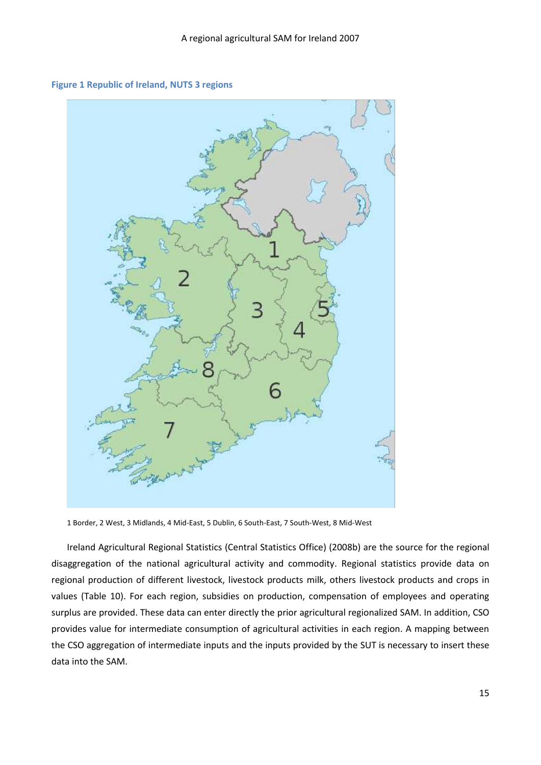<span id="page-15-0"></span>



1 Border, 2 West, 3 Midlands, 4 Mid-East, 5 Dublin, 6 South-East, 7 South-West, 8 Mid-West

Ireland Agricultural Regional Statistics (Central Statistics Office) (2008b) are the source for the regional disaggregation of the national agricultural activity and commodity. Regional statistics provide data on regional production of different livestock, livestock products milk, others livestock products and crops in values [\(Table 10\)](#page-16-0). For each region, subsidies on production, compensation of employees and operating surplus are provided. These data can enter directly the prior agricultural regionalized SAM. In addition, CSO provides value for intermediate consumption of agricultural activities in each region. A mapping between the CSO aggregation of intermediate inputs and the inputs provided by the SUT is necessary to insert these data into the SAM.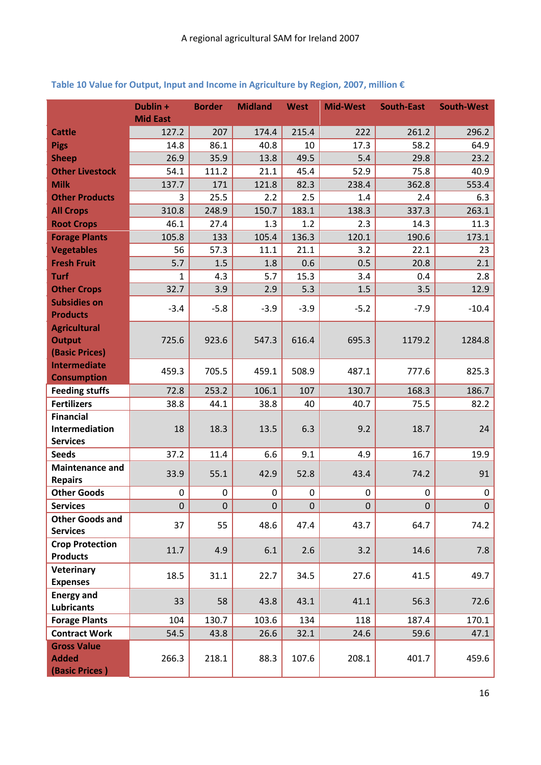|                                            | Dublin +<br><b>Mid East</b> | <b>Border</b> | <b>Midland</b> | <b>West</b> | <b>Mid-West</b> | <b>South-East</b> | <b>South-West</b> |
|--------------------------------------------|-----------------------------|---------------|----------------|-------------|-----------------|-------------------|-------------------|
| <b>Cattle</b>                              | 127.2                       | 207           | 174.4          | 215.4       | 222             | 261.2             | 296.2             |
| <b>Pigs</b>                                | 14.8                        | 86.1          | 40.8           | 10          | 17.3            | 58.2              | 64.9              |
| <b>Sheep</b>                               | 26.9                        | 35.9          | 13.8           | 49.5        | 5.4             | 29.8              | 23.2              |
| <b>Other Livestock</b>                     | 54.1                        | 111.2         | 21.1           | 45.4        | 52.9            | 75.8              | 40.9              |
| <b>Milk</b>                                | 137.7                       | 171           | 121.8          | 82.3        | 238.4           | 362.8             | 553.4             |
| <b>Other Products</b>                      | 3                           | 25.5          | 2.2            | 2.5         | 1.4             | 2.4               | 6.3               |
| <b>All Crops</b>                           | 310.8                       | 248.9         | 150.7          | 183.1       | 138.3           | 337.3             | 263.1             |
| <b>Root Crops</b>                          | 46.1                        | 27.4          | 1.3            | 1.2         | 2.3             | 14.3              | 11.3              |
| <b>Forage Plants</b>                       | 105.8                       | 133           | 105.4          | 136.3       | 120.1           | 190.6             | 173.1             |
| <b>Vegetables</b>                          | 56                          | 57.3          | 11.1           | 21.1        | 3.2             | 22.1              | 23                |
| <b>Fresh Fruit</b>                         | 5.7                         | 1.5           | 1.8            | 0.6         | 0.5             | 20.8              | 2.1               |
| <b>Turf</b>                                | $\mathbf{1}$                | 4.3           | 5.7            | 15.3        | 3.4             | 0.4               | 2.8               |
| <b>Other Crops</b>                         | 32.7                        | 3.9           | 2.9            | 5.3         | 1.5             | 3.5               | 12.9              |
| <b>Subsidies on</b>                        | $-3.4$                      | $-5.8$        | $-3.9$         | $-3.9$      | $-5.2$          | $-7.9$            | $-10.4$           |
| <b>Products</b>                            |                             |               |                |             |                 |                   |                   |
| <b>Agricultural</b><br><b>Output</b>       | 725.6                       | 923.6         | 547.3          | 616.4       | 695.3           | 1179.2            | 1284.8            |
| (Basic Prices)                             |                             |               |                |             |                 |                   |                   |
| <b>Intermediate</b>                        |                             |               |                |             |                 |                   |                   |
| <b>Consumption</b>                         | 459.3                       | 705.5         | 459.1          | 508.9       | 487.1           | 777.6             | 825.3             |
| <b>Feeding stuffs</b>                      | 72.8                        | 253.2         | 106.1          | 107         | 130.7           | 168.3             | 186.7             |
| <b>Fertilizers</b>                         | 38.8                        | 44.1          | 38.8           | 40          | 40.7            | 75.5              | 82.2              |
| <b>Financial</b>                           |                             |               |                |             |                 |                   |                   |
| Intermediation                             | 18                          | 18.3          | 13.5           | 6.3         | 9.2             | 18.7              | 24                |
| <b>Services</b>                            |                             |               |                |             |                 |                   |                   |
| <b>Seeds</b>                               | 37.2                        | 11.4          | 6.6            | 9.1         | 4.9             | 16.7              | 19.9              |
| <b>Maintenance and</b>                     | 33.9                        | 55.1          | 42.9           | 52.8        | 43.4            | 74.2              | 91                |
| <b>Repairs</b><br><b>Other Goods</b>       | 0                           | $\mathbf 0$   | $\pmb{0}$      | 0           | 0               | $\mathbf 0$       | $\mathbf 0$       |
| <b>Services</b>                            | $\pmb{0}$                   | $\pmb{0}$     | $\pmb{0}$      | $\pmb{0}$   | $\Omega$        | $\Omega$          | $\mathbf{0}$      |
| <b>Other Goods and</b>                     |                             |               |                |             |                 |                   |                   |
| <b>Services</b>                            | 37                          | 55            | 48.6           | 47.4        | 43.7            | 64.7              | 74.2              |
| <b>Crop Protection</b>                     |                             |               |                |             |                 |                   |                   |
| <b>Products</b>                            | 11.7                        | 4.9           | 6.1            | 2.6         | 3.2             | 14.6              | 7.8               |
| Veterinary                                 | 18.5                        | 31.1          | 22.7           | 34.5        | 27.6            | 41.5              | 49.7              |
| <b>Expenses</b>                            |                             |               |                |             |                 |                   |                   |
| <b>Energy and</b>                          | 33                          | 58            | 43.8           | 43.1        | 41.1            | 56.3              | 72.6              |
| <b>Lubricants</b>                          |                             |               |                |             |                 |                   |                   |
| <b>Forage Plants</b>                       | 104                         | 130.7         | 103.6          | 134         | 118             | 187.4             | 170.1             |
| <b>Contract Work</b><br><b>Gross Value</b> | 54.5                        | 43.8          | 26.6           | 32.1        | 24.6            | 59.6              | 47.1              |
| <b>Added</b>                               | 266.3                       | 218.1         | 88.3           | 107.6       | 208.1           | 401.7             | 459.6             |
| (Basic Prices)                             |                             |               |                |             |                 |                   |                   |

## <span id="page-16-0"></span>**Table 10 Value for Output, Input and Income in Agriculture by Region, 2007, million €**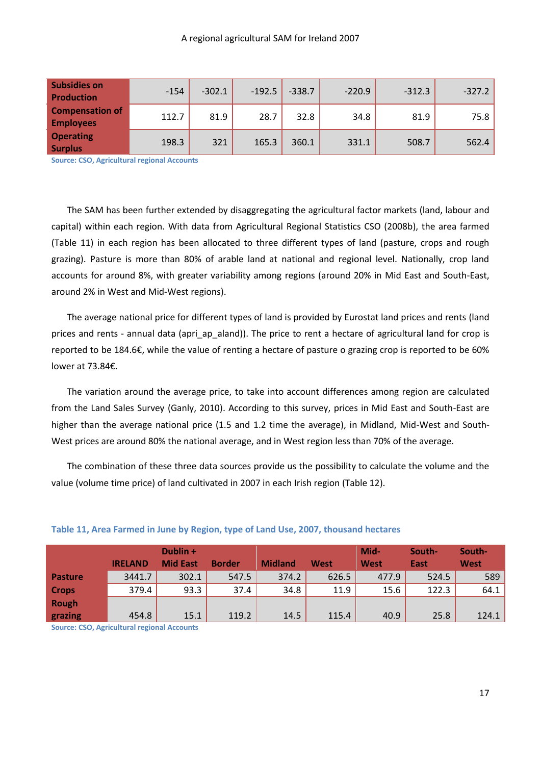| <b>Subsidies on</b><br><b>Production</b>   | $-154$ | $-302.1$ | $-192.5$ | $-338.7$ | $-220.9$ | $-312.3$ | $-327.2$ |
|--------------------------------------------|--------|----------|----------|----------|----------|----------|----------|
| <b>Compensation of</b><br><b>Employees</b> | 112.7  | 81.9     | 28.7     | 32.8     | 34.8     | 81.9     | 75.8     |
| <b>Operating</b><br><b>Surplus</b>         | 198.3  | 321      | 165.3    | 360.1    | 331.1    | 508.7    | 562.4    |

**Source: CSO, Agricultural regional Accounts** 

The SAM has been further extended by disaggregating the agricultural factor markets (land, labour and capital) within each region. With data from Agricultural Regional Statistics CSO (2008b), the area farmed [\(Table 11\)](#page-17-0) in each region has been allocated to three different types of land (pasture, crops and rough grazing). Pasture is more than 80% of arable land at national and regional level. Nationally, crop land accounts for around 8%, with greater variability among regions (around 20% in Mid East and South-East, around 2% in West and Mid-West regions).

The average national price for different types of land is provided by Eurostat land prices and rents (land prices and rents - annual data (apri\_ap\_aland)). The price to rent a hectare of agricultural land for crop is reported to be 184.6€, while the value of renting a hectare of pasture o grazing crop is reported to be 60% lower at 73.84€.

The variation around the average price, to take into account differences among region are calculated from the Land Sales Survey (Ganly, 2010). According to this survey, prices in Mid East and South-East are higher than the average national price (1.5 and 1.2 time the average), in Midland, Mid-West and South-West prices are around 80% the national average, and in West region less than 70% of the average.

The combination of these three data sources provide us the possibility to calculate the volume and the value (volume time price) of land cultivated in 2007 in each Irish region [\(Table 12\)](#page-18-0).

|                | <b>IRELAND</b> | Dublin +<br><b>Mid East</b> | <b>Border</b> | <b>Midland</b> | West  | Mid-<br><b>West</b> | South-<br>East | South-<br><b>West</b> |
|----------------|----------------|-----------------------------|---------------|----------------|-------|---------------------|----------------|-----------------------|
| <b>Pasture</b> | 3441.7         | 302.1                       | 547.5         | 374.2          | 626.5 | 477.9               | 524.5          | 589                   |
| <b>Crops</b>   | 379.4          | 93.3                        | 37.4          | 34.8           | 11.9  | 15.6                | 122.3          | 64.1                  |
| <b>Rough</b>   |                |                             |               |                |       |                     |                |                       |
| grazing        | 454.8          | 15.1                        | 119.2         | 14.5           | 115.4 | 40.9                | 25.8           | 124.1                 |

#### <span id="page-17-0"></span>**Table 11, Area Farmed in June by Region, type of Land Use, 2007, thousand hectares**

**Source: CSO, Agricultural regional Accounts**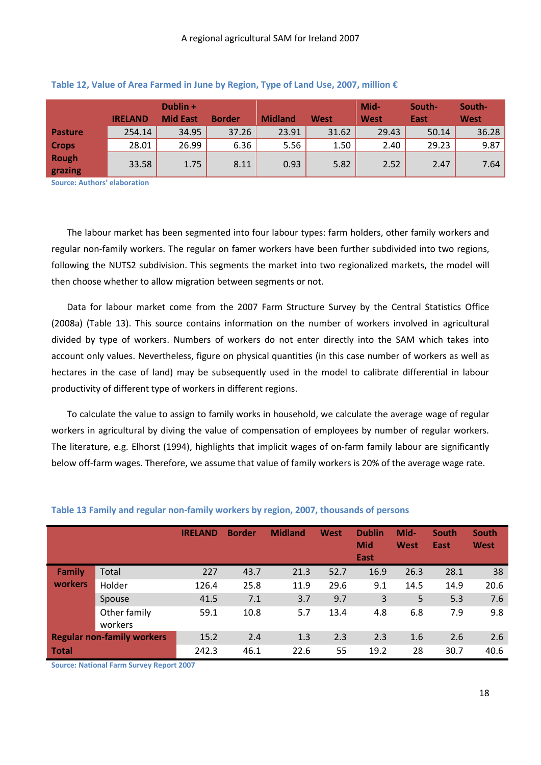|                         |                | Dublin +        |               |                |       | Mid-        | South- | South-      |
|-------------------------|----------------|-----------------|---------------|----------------|-------|-------------|--------|-------------|
|                         | <b>IRELAND</b> | <b>Mid East</b> | <b>Border</b> | <b>Midland</b> | West  | <b>West</b> | East   | <b>West</b> |
| <b>Pasture</b>          | 254.14         | 34.95           | 37.26         | 23.91          | 31.62 | 29.43       | 50.14  | 36.28       |
| <b>Crops</b>            | 28.01          | 26.99           | 6.36          | 5.56           | 1.50  | 2.40        | 29.23  | 9.87        |
| <b>Rough</b><br>grazing | 33.58          | 1.75            | 8.11          | 0.93           | 5.82  | 2.52        | 2.47   | 7.64        |

#### <span id="page-18-0"></span>**Table 12, Value of Area Farmed in June by Region, Type of Land Use, 2007, million €**

**Source: Authors' elaboration**

The labour market has been segmented into four labour types: farm holders, other family workers and regular non-family workers. The regular on famer workers have been further subdivided into two regions, following the NUTS2 subdivision. This segments the market into two regionalized markets, the model will then choose whether to allow migration between segments or not.

Data for labour market come from the 2007 Farm Structure Survey by the Central Statistics Office (2008a) [\(Table 13\)](#page-18-1). This source contains information on the number of workers involved in agricultural divided by type of workers. Numbers of workers do not enter directly into the SAM which takes into account only values. Nevertheless, figure on physical quantities (in this case number of workers as well as hectares in the case of land) may be subsequently used in the model to calibrate differential in labour productivity of different type of workers in different regions.

To calculate the value to assign to family works in household, we calculate the average wage of regular workers in agricultural by diving the value of compensation of employees by number of regular workers. The literature, e.g. Elhorst (1994), highlights that implicit wages of on-farm family labour are significantly below off-farm wages. Therefore, we assume that value of family workers is 20% of the average wage rate.

|                |                                   | <b>IRELAND</b> | <b>Border</b> | <b>Midland</b> | West | <b>Dublin</b><br><b>Mid</b><br>East | Mid-<br><b>West</b> | <b>South</b><br>East | South<br>West |
|----------------|-----------------------------------|----------------|---------------|----------------|------|-------------------------------------|---------------------|----------------------|---------------|
| <b>Family</b>  | Total                             | 227            | 43.7          | 21.3           | 52.7 | 16.9                                | 26.3                | 28.1                 | 38            |
| <b>workers</b> | Holder                            | 126.4          | 25.8          | 11.9           | 29.6 | 9.1                                 | 14.5                | 14.9                 | 20.6          |
|                | Spouse                            | 41.5           | 7.1           | 3.7            | 9.7  | 3                                   | 5                   | 5.3                  | 7.6           |
|                | Other family<br>workers           | 59.1           | 10.8          | 5.7            | 13.4 | 4.8                                 | 6.8                 | 7.9                  | 9.8           |
|                | <b>Regular non-family workers</b> | 15.2           | 2.4           | 1.3            | 2.3  | 2.3                                 | 1.6                 | 2.6                  | 2.6           |
| <b>Total</b>   |                                   | 242.3          | 46.1          | 22.6           | 55   | 19.2                                | 28                  | 30.7                 | 40.6          |

#### <span id="page-18-1"></span>**Table 13 Family and regular non-family workers by region, 2007, thousands of persons**

**Source: National Farm Survey Report 2007**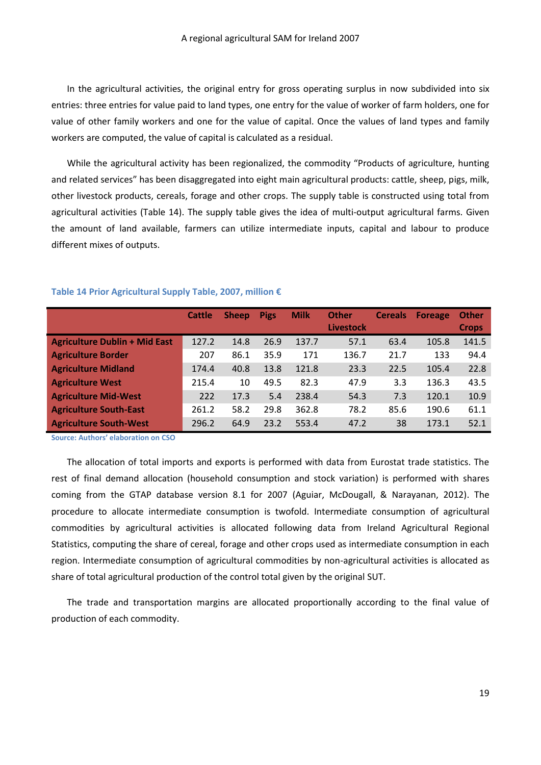In the agricultural activities, the original entry for gross operating surplus in now subdivided into six entries: three entries for value paid to land types, one entry for the value of worker of farm holders, one for value of other family workers and one for the value of capital. Once the values of land types and family workers are computed, the value of capital is calculated as a residual.

While the agricultural activity has been regionalized, the commodity "Products of agriculture, hunting and related services" has been disaggregated into eight main agricultural products: cattle, sheep, pigs, milk, other livestock products, cereals, forage and other crops. The supply table is constructed using total from agricultural activities [\(Table 14\)](#page-19-0). The supply table gives the idea of multi-output agricultural farms. Given the amount of land available, farmers can utilize intermediate inputs, capital and labour to produce different mixes of outputs.

|                                      | Cattle | <b>Sheep</b> | <b>Pigs</b> | <b>Milk</b> | <b>Other</b><br><b>Livestock</b> | <b>Cereals</b> | <b>Foreage</b> | <b>Other</b><br><b>Crops</b> |
|--------------------------------------|--------|--------------|-------------|-------------|----------------------------------|----------------|----------------|------------------------------|
| <b>Agriculture Dublin + Mid East</b> | 127.2  | 14.8         | 26.9        | 137.7       | 57.1                             | 63.4           | 105.8          | 141.5                        |
| <b>Agriculture Border</b>            | 207    | 86.1         | 35.9        | 171         | 136.7                            | 21.7           | 133            | 94.4                         |
| <b>Agriculture Midland</b>           | 174.4  | 40.8         | 13.8        | 121.8       | 23.3                             | 22.5           | 105.4          | 22.8                         |
| <b>Agriculture West</b>              | 215.4  | 10           | 49.5        | 82.3        | 47.9                             | 3.3            | 136.3          | 43.5                         |
| <b>Agriculture Mid-West</b>          | 222    | 17.3         | 5.4         | 238.4       | 54.3                             | 7.3            | 120.1          | 10.9                         |
| <b>Agriculture South-East</b>        | 261.2  | 58.2         | 29.8        | 362.8       | 78.2                             | 85.6           | 190.6          | 61.1                         |
| <b>Agriculture South-West</b>        | 296.2  | 64.9         | 23.2        | 553.4       | 47.2                             | 38             | 173.1          | 52.1                         |

#### <span id="page-19-0"></span>**Table 14 Prior Agricultural Supply Table, 2007, million €**

**Source: Authors' elaboration on CSO**

The allocation of total imports and exports is performed with data from Eurostat trade statistics. The rest of final demand allocation (household consumption and stock variation) is performed with shares coming from the GTAP database version 8.1 for 2007 (Aguiar, McDougall, & Narayanan, 2012). The procedure to allocate intermediate consumption is twofold. Intermediate consumption of agricultural commodities by agricultural activities is allocated following data from Ireland Agricultural Regional Statistics, computing the share of cereal, forage and other crops used as intermediate consumption in each region. Intermediate consumption of agricultural commodities by non-agricultural activities is allocated as share of total agricultural production of the control total given by the original SUT.

The trade and transportation margins are allocated proportionally according to the final value of production of each commodity.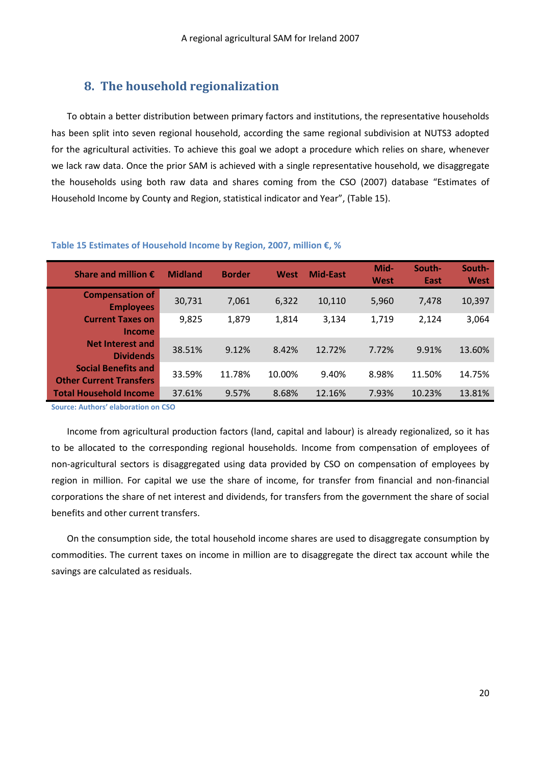## **8. The household regionalization**

<span id="page-20-0"></span>To obtain a better distribution between primary factors and institutions, the representative households has been split into seven regional household, according the same regional subdivision at NUTS3 adopted for the agricultural activities. To achieve this goal we adopt a procedure which relies on share, whenever we lack raw data. Once the prior SAM is achieved with a single representative household, we disaggregate the households using both raw data and shares coming from the CSO (2007) database "Estimates of Household Income by County and Region, statistical indicator and Year", [\(Table 15\)](#page-20-1).

| Share and million $\epsilon$                                 | <b>Midland</b> | <b>Border</b> | West   | <b>Mid-East</b> | Mid-<br>West | South-<br>East | South-<br>West |
|--------------------------------------------------------------|----------------|---------------|--------|-----------------|--------------|----------------|----------------|
| <b>Compensation of</b><br><b>Employees</b>                   | 30,731         | 7,061         | 6,322  | 10,110          | 5,960        | 7,478          | 10,397         |
| <b>Current Taxes on</b><br><b>Income</b>                     | 9,825          | 1,879         | 1,814  | 3,134           | 1,719        | 2,124          | 3,064          |
| <b>Net Interest and</b><br><b>Dividends</b>                  | 38.51%         | 9.12%         | 8.42%  | 12.72%          | 7.72%        | 9.91%          | 13.60%         |
| <b>Social Benefits and</b><br><b>Other Current Transfers</b> | 33.59%         | 11.78%        | 10.00% | 9.40%           | 8.98%        | 11.50%         | 14.75%         |
| <b>Total Household Income</b>                                | 37.61%         | 9.57%         | 8.68%  | 12.16%          | 7.93%        | 10.23%         | 13.81%         |

#### <span id="page-20-1"></span>**Table 15 Estimates of Household Income by Region, 2007, million €, %**

**Source: Authors' elaboration on CSO**

Income from agricultural production factors (land, capital and labour) is already regionalized, so it has to be allocated to the corresponding regional households. Income from compensation of employees of non-agricultural sectors is disaggregated using data provided by CSO on compensation of employees by region in million. For capital we use the share of income, for transfer from financial and non-financial corporations the share of net interest and dividends, for transfers from the government the share of social benefits and other current transfers.

On the consumption side, the total household income shares are used to disaggregate consumption by commodities. The current taxes on income in million are to disaggregate the direct tax account while the savings are calculated as residuals.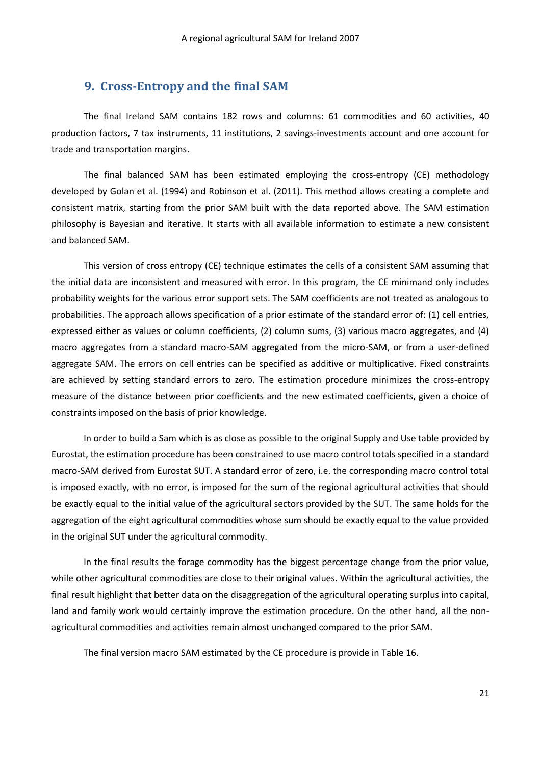### **9. Cross-Entropy and the final SAM**

<span id="page-21-0"></span>The final Ireland SAM contains 182 rows and columns: 61 commodities and 60 activities, 40 production factors, 7 tax instruments, 11 institutions, 2 savings-investments account and one account for trade and transportation margins.

The final balanced SAM has been estimated employing the cross-entropy (CE) methodology developed by Golan et al. (1994) and Robinson et al. (2011). This method allows creating a complete and consistent matrix, starting from the prior SAM built with the data reported above. The SAM estimation philosophy is Bayesian and iterative. It starts with all available information to estimate a new consistent and balanced SAM.

This version of cross entropy (CE) technique estimates the cells of a consistent SAM assuming that the initial data are inconsistent and measured with error. In this program, the CE minimand only includes probability weights for the various error support sets. The SAM coefficients are not treated as analogous to probabilities. The approach allows specification of a prior estimate of the standard error of: (1) cell entries, expressed either as values or column coefficients, (2) column sums, (3) various macro aggregates, and (4) macro aggregates from a standard macro-SAM aggregated from the micro-SAM, or from a user-defined aggregate SAM. The errors on cell entries can be specified as additive or multiplicative. Fixed constraints are achieved by setting standard errors to zero. The estimation procedure minimizes the cross-entropy measure of the distance between prior coefficients and the new estimated coefficients, given a choice of constraints imposed on the basis of prior knowledge.

In order to build a Sam which is as close as possible to the original Supply and Use table provided by Eurostat, the estimation procedure has been constrained to use macro control totals specified in a standard macro-SAM derived from Eurostat SUT. A standard error of zero, i.e. the corresponding macro control total is imposed exactly, with no error, is imposed for the sum of the regional agricultural activities that should be exactly equal to the initial value of the agricultural sectors provided by the SUT. The same holds for the aggregation of the eight agricultural commodities whose sum should be exactly equal to the value provided in the original SUT under the agricultural commodity.

In the final results the forage commodity has the biggest percentage change from the prior value, while other agricultural commodities are close to their original values. Within the agricultural activities, the final result highlight that better data on the disaggregation of the agricultural operating surplus into capital, land and family work would certainly improve the estimation procedure. On the other hand, all the nonagricultural commodities and activities remain almost unchanged compared to the prior SAM.

The final version macro SAM estimated by the CE procedure is provide in [Table 16.](#page-22-1)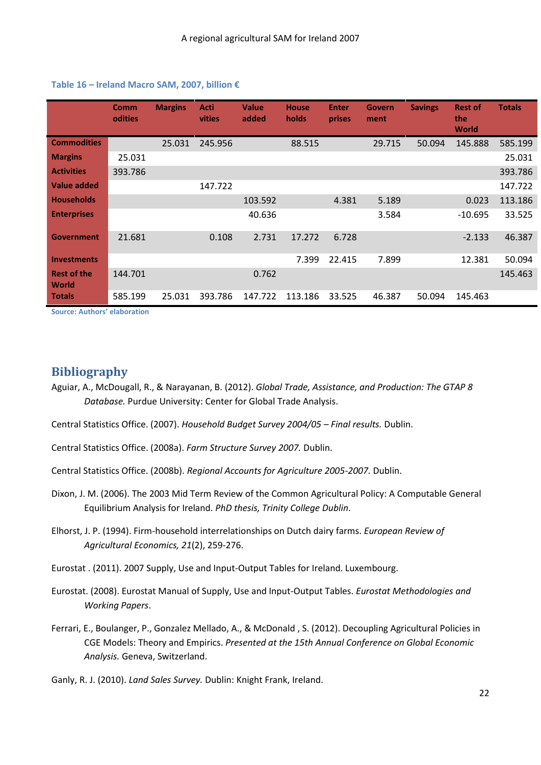|                             | <b>Comm</b><br><b>odities</b> | <b>Margins</b> | Acti<br>vities | <b>Value</b><br>added | <b>House</b><br>holds | <b>Enter</b><br>prises | <b>Govern</b><br>ment | <b>Savings</b> | <b>Rest of</b><br>the<br><b>World</b> | <b>Totals</b> |
|-----------------------------|-------------------------------|----------------|----------------|-----------------------|-----------------------|------------------------|-----------------------|----------------|---------------------------------------|---------------|
| <b>Commodities</b>          |                               | 25.031         | 245.956        |                       | 88.515                |                        | 29.715                | 50.094         | 145.888                               | 585.199       |
| <b>Margins</b>              | 25.031                        |                |                |                       |                       |                        |                       |                |                                       | 25.031        |
| <b>Activities</b>           | 393.786                       |                |                |                       |                       |                        |                       |                |                                       | 393.786       |
| <b>Value added</b>          |                               |                | 147.722        |                       |                       |                        |                       |                |                                       | 147.722       |
| <b>Households</b>           |                               |                |                | 103.592               |                       | 4.381                  | 5.189                 |                | 0.023                                 | 113.186       |
| <b>Enterprises</b>          |                               |                |                | 40.636                |                       |                        | 3.584                 |                | $-10.695$                             | 33.525        |
| <b>Government</b>           | 21.681                        |                | 0.108          | 2.731                 | 17.272                | 6.728                  |                       |                | $-2.133$                              | 46.387        |
| <b>Investments</b>          |                               |                |                |                       | 7.399                 | 22.415                 | 7.899                 |                | 12.381                                | 50.094        |
| <b>Rest of the</b><br>World | 144.701                       |                |                | 0.762                 |                       |                        |                       |                |                                       | 145.463       |
| <b>Totals</b>               | 585.199                       | 25.031         | 393.786        | 147.722               | 113.186               | 33.525                 | 46.387                | 50.094         | 145.463                               |               |

#### <span id="page-22-1"></span>**Table 16 – Ireland Macro SAM, 2007, billion €**

**Source: Authors' elaboration** 

## <span id="page-22-0"></span>**Bibliography**

- Aguiar, A., McDougall, R., & Narayanan, B. (2012). *Global Trade, Assistance, and Production: The GTAP 8 Database.* Purdue University: Center for Global Trade Analysis.
- Central Statistics Office. (2007). *Household Budget Survey 2004/05 – Final results.* Dublin.
- Central Statistics Office. (2008a). *Farm Structure Survey 2007.* Dublin.
- Central Statistics Office. (2008b). *Regional Accounts for Agriculture 2005-2007.* Dublin.
- Dixon, J. M. (2006). The 2003 Mid Term Review of the Common Agricultural Policy: A Computable General Equilibrium Analysis for Ireland. *PhD thesis, Trinity College Dublin*.
- Elhorst, J. P. (1994). Firm-household interrelationships on Dutch dairy farms. *European Review of Agricultural Economics, 21*(2), 259-276.
- Eurostat . (2011). 2007 Supply, Use and Input-Output Tables for Ireland. Luxembourg.
- Eurostat. (2008). Eurostat Manual of Supply, Use and Input-Output Tables. *Eurostat Methodologies and Working Papers*.
- Ferrari, E., Boulanger, P., Gonzalez Mellado, A., & McDonald , S. (2012). Decoupling Agricultural Policies in CGE Models: Theory and Empirics. *Presented at the 15th Annual Conference on Global Economic Analysis.* Geneva, Switzerland.
- Ganly, R. J. (2010). *Land Sales Survey.* Dublin: Knight Frank, Ireland.